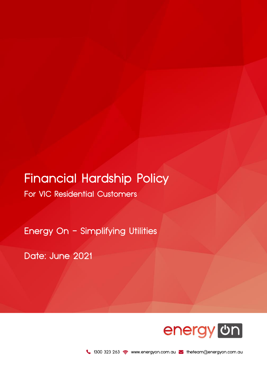# Financial Hardship Policy

For VIC Residential Customers

Energy On - Simplifying Utilities

Date: June 2021



1300 323 263 www.energyon.com.au M theteam@energyon.com.au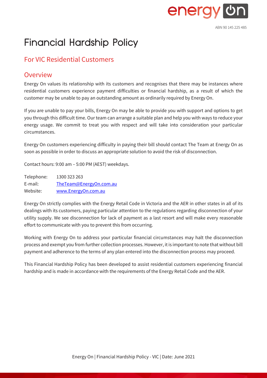

## Financial Hardship Policy

## For VIC Residential Customers

## **Overview**

Energy On values its relationship with its customers and recognises that there may be instances where residential customers experience payment difficulties or financial hardship, as a result of which the customer may be unable to pay an outstanding amount as ordinarily required by Energy On.

If you are unable to pay your bills, Energy On may be able to provide you with support and options to get you through this difficult time. Our team can arrange a suitable plan and help you with ways to reduce your energy usage. We commit to treat you with respect and will take into consideration your particular circumstances.

Energy On customers experiencing difficulty in paying their bill should contact The Team at Energy On as soon as possible in order to discuss an appropriate solution to avoid the risk of disconnection.

Contact hours: 9:00 am – 5:00 PM (AEST) weekdays.

Telephone: 1300 323 263 E-mail: [TheTeam@EnergyOn.com.au](mailto:TheTeam@EnergyOn.com.au) Website: [www.EnergyOn.com.au](http://www.energyon.com.au/)

Energy On strictly complies with the Energy Retail Code in Victoria and the AER in other states in all of its dealings with its customers, paying particular attention to the regulations regarding disconnection of your utility supply. We see disconnection for lack of payment as a last resort and will make every reasonable effort to communicate with you to prevent this from occurring.

Working with Energy On to address your particular financial circumstances may halt the disconnection process and exempt you from further collection processes. However, it is important to note that without bill payment and adherence to the terms of any plan entered into the disconnection process may proceed.

This Financial Hardship Policy has been developed to assist residential customers experiencing financial hardship and is made in accordance with the requirements of the Energy Retail Code and the AER.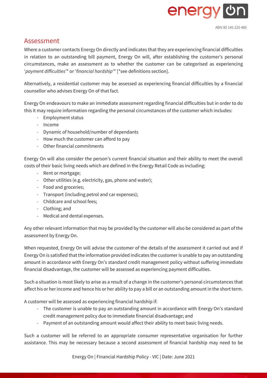

### Assessment

Where a customer contacts Energy On directly and indicates that they are experiencing financial difficulties in relation to an outstanding bill payment, Energy On will, after establishing the customer's personal circumstances, make an assessment as to whether the customer can be categorised as experiencing '*payment difficulties*'\* or '*financial hardship*'\* [\*see definitions section].

Alternatively, a residential customer may be assessed as experiencing financial difficulties by a financial counsellor who advises Energy On of that fact.

Energy On endeavours to make an immediate assessment regarding financial difficulties but in order to do this it may require information regarding the personal circumstances of the customer which includes:

- Employment status
- Income
- Dynamic of household/number of dependants
- How much the customer can afford to pay
- Other financial commitments

Energy On will also consider the person's current financial situation and their ability to meet the overall costs of their basic living needs which are defined in the Energy Retail Code as including:

- Rent or mortgage;
- Other utilities (e.g. electricity, gas, phone and water);
- Food and groceries;
- Transport (including petrol and car expenses);
- Childcare and school fees;
- Clothing; and
- Medical and dental expenses.

Any other relevant information that may be provided by the customer will also be considered as part of the assessment by Energy On.

When requested, Energy On will advise the customer of the details of the assessment it carried out and if Energy On is satisfied that the information provided indicates the customer is unable to pay an outstanding amount in accordance with Energy On's standard credit management policy without suffering immediate financial disadvantage, the customer will be assessed as experiencing payment difficulties.

Such a situation is most likely to arise as a result of a change in the customer's personal circumstances that affect his or her income and hence his or her ability to pay a bill or an outstanding amount in the short term.

A customer will be assessed as experiencing financial hardship if:

- The customer is unable to pay an outstanding amount in accordance with Energy On's standard credit management policy due to immediate financial disadvantage; and
- Payment of an outstanding amount would affect their ability to meet basic living needs.

Such a customer will be referred to an appropriate consumer representative organisation for further assistance. This may be necessary because a second assessment of financial hardship may need to be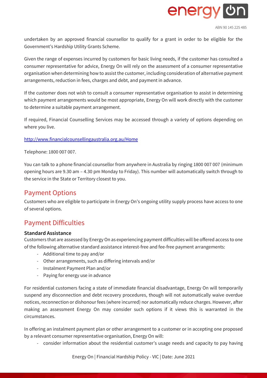

ABN 90 145 225 485

undertaken by an approved financial counsellor to qualify for a grant in order to be eligible for the Government's Hardship Utility Grants Scheme.

Given the range of expenses incurred by customers for basic living needs, if the customer has consulted a consumer representative for advice, Energy On will rely on the assessment of a consumer representative organisation when determining how to assist the customer, including consideration of alternative payment arrangements, reduction in fees, charges and debt, and payment in advance.

If the customer does not wish to consult a consumer representative organisation to assist in determining which payment arrangements would be most appropriate, Energy On will work directly with the customer to determine a suitable payment arrangement.

If required, Financial Counselling Services may be accessed through a variety of options depending on where you live.

#### <http://www.financialcounsellingaustralia.org.au/Home>

Telephone: 1800 007 007.

You can talk to a phone financial counsellor from anywhere in Australia by ringing 1800 007 007 (minimum opening hours are 9.30 am – 4.30 pm Monday to Friday). This number will automatically switch through to the service in the State or Territory closest to you.

## Payment Options

Customers who are eligible to participate in Energy On's ongoing utility supply process have access to one of several options.

## Payment Difficulties

#### **Standard Assistance**

Customers that are assessed by Energy On as experiencing payment difficulties will be offered access to one of the following alternative standard assistance interest-free and fee-free payment arrangements:

- Additional time to pay and/or
- Other arrangements, such as differing intervals and/or
- Instalment Payment Plan and/or
- Paying for energy use in advance

For residential customers facing a state of immediate financial disadvantage, Energy On will temporarily suspend any disconnection and debt recovery procedures, though will not automatically waive overdue notices, reconnection or dishonour fees (where incurred) nor automatically reduce charges. However, after making an assessment Energy On may consider such options if it views this is warranted in the circumstances.

In offering an instalment payment plan or other arrangement to a customer or in accepting one proposed by a relevant consumer representative organisation, Energy On will:

- consider information about the residential customer's usage needs and capacity to pay having

Energy On | Financial Hardship Policy - VIC | Date: June 2021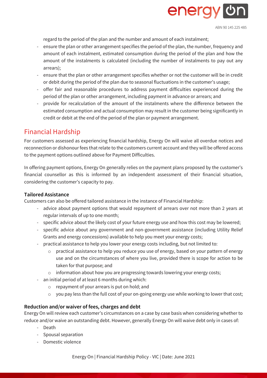

ABN 90 145 225 485

regard to the period of the plan and the number and amount of each instalment;

- ensure the plan or other arrangement specifies the period of the plan, the number, frequency and amount of each instalment, estimated consumption during the period of the plan and how the amount of the instalments is calculated (including the number of instalments to pay out any arrears);
- ensure that the plan or other arrangement specifies whether or not the customer will be in credit or debit during the period of the plan due to seasonal fluctuations in the customer's usage;
- offer fair and reasonable procedures to address payment difficulties experienced during the period of the plan or other arrangement, including payment in advance or arrears; and
- provide for recalculation of the amount of the instalments where the difference between the estimated consumption and actual consumption may result in the customer being significantly in credit or debit at the end of the period of the plan or payment arrangement.

## Financial Hardship

For customers assessed as experiencing financial hardship, Energy On will waive all overdue notices and reconnection or dishonour fees that relate to the customers current account and they will be offered access to the payment options outlined above for Payment Difficulties.

In offering payment options, Energy On generally relies on the payment plans proposed by the customer's financial counsellor as this is informed by an independent assessment of their financial situation, considering the customer's capacity to pay.

#### **Tailored Assistance**

Customers can also be offered tailored assistance in the instance of Financial Hardship:

- advice about payment options that would repayment of arrears over not more than 2 years at regular intervals of up to one month;
- specific advice about the likely cost of your future energy use and how this cost may be lowered;
- specific advice about any government and non-government assistance (including Utility Relief Grants and energy concessions) available to help you meet your energy costs;
- practical assistance to help you lower your energy costs including, but not limited to:
	- $\circ$  practical assistance to help you reduce you use of energy, based on your pattern of energy use and on the circumstances of where you live, provided there is scope for action to be taken for that purpose; and
	- $\circ$  information about how you are progressing towards lowering your energy costs;
- an initial period of at least 6 months during which:
	- o repayment of your arrears is put on hold; and
	- o you pay less than the full cost of your on-going energy use while working to lower that cost;

#### **Reduction and/or waiver of fees, charges and debt**

Energy On will review each customer's circumstances on a case by case basis when considering whether to reduce and/or waive an outstanding debt. However, generally Energy On will waive debt only in cases of:

- Death
- Spousal separation
- Domestic violence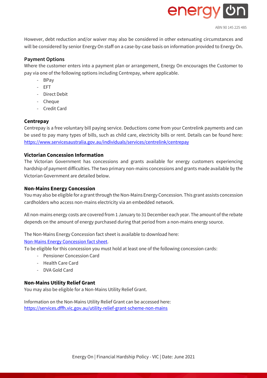

ABN 90 145 225 485

However, debt reduction and/or waiver may also be considered in other extenuating circumstances and will be considered by senior Energy On staff on a case-by-case basis on information provided to Energy On.

#### **Payment Options**

Where the customer enters into a payment plan or arrangement, Energy On encourages the Customer to pay via one of the following options including Centrepay, where applicable.

- BPay
- EFT
- Direct Debit
- Cheque
- Credit Card

#### **Centrepay**

Centrepay is a free voluntary bill paying service. Deductions come from your Centrelink payments and can be used to pay many types of bills, such as child care, electricity bills or rent. Details can be found here: https://www.servicesaustralia.gov.au/individuals/services/centrelink/centrepay

#### **Victorian Concession Information**

The Victorian Government has concessions and grants available for energy customers experiencing hardship of payment difficulties. The two primary non-mains concessions and grants made available by the Victorian Government are detailed below.

#### **Non-Mains Energy Concession**

You may also be eligible for a grant through the Non-Mains Energy Concession. This grant assists concession cardholders who access non-mains electricity via an embedded network.

All non-mains energy costs are covered from 1 January to 31 December each year. The amount of the rebate depends on the amount of energy purchased during that period from a non-mains energy source.

The Non-Mains Energy Concession fact sheet is available to download here: [Non-Mains Energy Concession fact sheet.](https://services.dffh.vic.gov.au/non-mains-energy-concession)

To be eligible for this concession you must hold at least one of the following concession cards:

- Pensioner Concession Card
- Health Care Card
- DVA Gold Card

#### **Non-Mains Utility Relief Grant**

You may also be eligible for a Non-Mains Utility Relief Grant.

Information on the Non-Mains Utility Relief Grant can be accessed here: <https://services.dffh.vic.gov.au/utility-relief-grant-scheme-non-mains>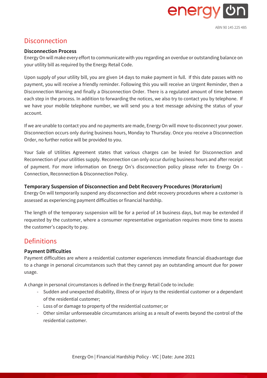

## **Disconnection**

#### **Disconnection Process**

Energy On will make every effort to communicate with you regarding an overdue or outstanding balance on your utility bill as required by the Energy Retail Code.

Upon supply of your utility bill, you are given 14 days to make payment in full. If this date passes with no payment, you will receive a friendly reminder. Following this you will receive an Urgent Reminder, then a Disconnection Warning and finally a Disconnection Order. There is a regulated amount of time between each step in the process. In addition to forwarding the notices, we also try to contact you by telephone. If we have your mobile telephone number, we will send you a text message advising the status of your account.

If we are unable to contact you and no payments are made, Energy On will move to disconnect your power. Disconnection occurs only during business hours, Monday to Thursday. Once you receive a Disconnection Order, no further notice will be provided to you.

Your Sale of Utilities Agreement states that various charges can be levied for Disconnection and Reconnection of your utilities supply. Reconnection can only occur during business hours and after receipt of payment. For more information on Energy On's disconnection policy please refer to Energy On - Connection, Reconnection & Disconnection Policy.

#### **Temporary Suspension of Disconnection and Debt Recovery Procedures (Moratorium)**

Energy On will temporarily suspend any disconnection and debt recovery procedures where a customer is assessed as experiencing payment difficulties or financial hardship.

The length of the temporary suspension will be for a period of 14 business days, but may be extended if requested by the customer, where a consumer representative organisation requires more time to assess the customer's capacity to pay.

## **Definitions**

#### **Payment Difficulties**

Payment difficulties are where a residential customer experiences immediate financial disadvantage due to a change in personal circumstances such that they cannot pay an outstanding amount due for power usage.

A change in personal circumstances is defined in the Energy Retail Code to include:

- Sudden and unexpected disability, illness of or injury to the residential customer or a dependant of the residential customer;
- Loss of or damage to property of the residential customer; or
- Other similar unforeseeable circumstances arising as a result of events beyond the control of the residential customer.